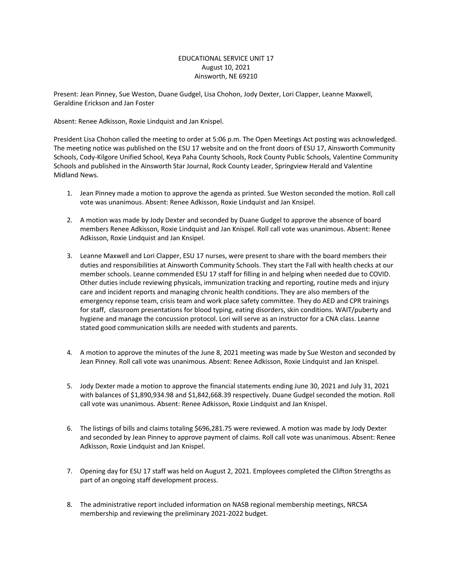## EDUCATIONAL SERVICE UNIT 17 August 10, 2021 Ainsworth, NE 69210

Present: Jean Pinney, Sue Weston, Duane Gudgel, Lisa Chohon, Jody Dexter, Lori Clapper, Leanne Maxwell, Geraldine Erickson and Jan Foster

Absent: Renee Adkisson, Roxie Lindquist and Jan Knispel.

President Lisa Chohon called the meeting to order at 5:06 p.m. The Open Meetings Act posting was acknowledged. The meeting notice was published on the ESU 17 website and on the front doors of ESU 17, Ainsworth Community Schools, Cody-Kilgore Unified School, Keya Paha County Schools, Rock County Public Schools, Valentine Community Schools and published in the Ainsworth Star Journal, Rock County Leader, Springview Herald and Valentine Midland News.

- 1. Jean Pinney made a motion to approve the agenda as printed. Sue Weston seconded the motion. Roll call vote was unanimous. Absent: Renee Adkisson, Roxie Lindquist and Jan Knsipel.
- 2. A motion was made by Jody Dexter and seconded by Duane Gudgel to approve the absence of board members Renee Adkisson, Roxie Lindquist and Jan Knispel. Roll call vote was unanimous. Absent: Renee Adkisson, Roxie Lindquist and Jan Knsipel.
- 3. Leanne Maxwell and Lori Clapper, ESU 17 nurses, were present to share with the board members their duties and responsibilities at Ainsworth Community Schools. They start the Fall with health checks at our member schools. Leanne commended ESU 17 staff for filling in and helping when needed due to COVID. Other duties include reviewing physicals, immunization tracking and reporting, routine meds and injury care and incident reports and managing chronic health conditions. They are also members of the emergency reponse team, crisis team and work place safety committee. They do AED and CPR trainings for staff, classroom presentations for blood typing, eating disorders, skin conditions. WAIT/puberty and hygiene and manage the concussion protocol. Lori will serve as an instructor for a CNA class. Leanne stated good communication skills are needed with students and parents.
- 4. A motion to approve the minutes of the June 8, 2021 meeting was made by Sue Weston and seconded by Jean Pinney. Roll call vote was unanimous. Absent: Renee Adkisson, Roxie Lindquist and Jan Knispel.
- 5. Jody Dexter made a motion to approve the financial statements ending June 30, 2021 and July 31, 2021 with balances of \$1,890,934.98 and \$1,842,668.39 respectively. Duane Gudgel seconded the motion. Roll call vote was unanimous. Absent: Renee Adkisson, Roxie Lindquist and Jan Knispel.
- 6. The listings of bills and claims totaling \$696,281.75 were reviewed. A motion was made by Jody Dexter and seconded by Jean Pinney to approve payment of claims. Roll call vote was unanimous. Absent: Renee Adkisson, Roxie Lindquist and Jan Knispel.
- 7. Opening day for ESU 17 staff was held on August 2, 2021. Employees completed the Clifton Strengths as part of an ongoing staff development process.
- 8. The administrative report included information on NASB regional membership meetings, NRCSA membership and reviewing the preliminary 2021-2022 budget.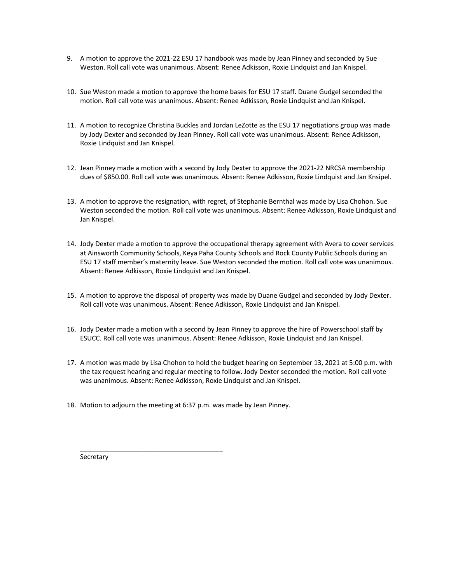- 9. A motion to approve the 2021-22 ESU 17 handbook was made by Jean Pinney and seconded by Sue Weston. Roll call vote was unanimous. Absent: Renee Adkisson, Roxie Lindquist and Jan Knispel.
- 10. Sue Weston made a motion to approve the home bases for ESU 17 staff. Duane Gudgel seconded the motion. Roll call vote was unanimous. Absent: Renee Adkisson, Roxie Lindquist and Jan Knispel.
- 11. A motion to recognize Christina Buckles and Jordan LeZotte as the ESU 17 negotiations group was made by Jody Dexter and seconded by Jean Pinney. Roll call vote was unanimous. Absent: Renee Adkisson, Roxie Lindquist and Jan Knispel.
- 12. Jean Pinney made a motion with a second by Jody Dexter to approve the 2021-22 NRCSA membership dues of \$850.00. Roll call vote was unanimous. Absent: Renee Adkisson, Roxie Lindquist and Jan Knsipel.
- 13. A motion to approve the resignation, with regret, of Stephanie Bernthal was made by Lisa Chohon. Sue Weston seconded the motion. Roll call vote was unanimous. Absent: Renee Adkisson, Roxie Lindquist and Jan Knispel.
- 14. Jody Dexter made a motion to approve the occupational therapy agreement with Avera to cover services at Ainsworth Community Schools, Keya Paha County Schools and Rock County Public Schools during an ESU 17 staff member's maternity leave. Sue Weston seconded the motion. Roll call vote was unanimous. Absent: Renee Adkisson, Roxie Lindquist and Jan Knispel.
- 15. A motion to approve the disposal of property was made by Duane Gudgel and seconded by Jody Dexter. Roll call vote was unanimous. Absent: Renee Adkisson, Roxie Lindquist and Jan Knispel.
- 16. Jody Dexter made a motion with a second by Jean Pinney to approve the hire of Powerschool staff by ESUCC. Roll call vote was unanimous. Absent: Renee Adkisson, Roxie Lindquist and Jan Knispel.
- 17. A motion was made by Lisa Chohon to hold the budget hearing on September 13, 2021 at 5:00 p.m. with the tax request hearing and regular meeting to follow. Jody Dexter seconded the motion. Roll call vote was unanimous. Absent: Renee Adkisson, Roxie Lindquist and Jan Knispel.
- 18. Motion to adjourn the meeting at 6:37 p.m. was made by Jean Pinney.

\_\_\_\_\_\_\_\_\_\_\_\_\_\_\_\_\_\_\_\_\_\_\_\_\_\_\_\_\_\_\_\_\_\_\_\_\_\_\_

**Secretary**